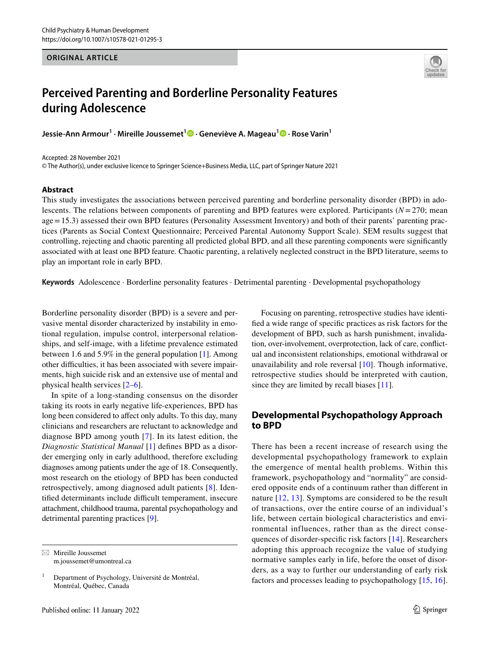# **ORIGINAL ARTICLE**



# **Perceived Parenting and Borderline Personality Features during Adolescence**

**Jessie‑Ann Armour1 · Mireille Joussemet1  [·](http://orcid.org/0000-0003-4407-6149) Geneviève A. Mageau1 · Rose Varin1**

Accepted: 28 November 2021

© The Author(s), under exclusive licence to Springer Science+Business Media, LLC, part of Springer Nature 2021

## **Abstract**

This study investigates the associations between perceived parenting and borderline personality disorder (BPD) in adolescents. The relations between components of parenting and BPD features were explored. Participants (*N*=270; mean age=15.3) assessed their own BPD features (Personality Assessment Inventory) and both of their parents' parenting practices (Parents as Social Context Questionnaire; Perceived Parental Autonomy Support Scale). SEM results suggest that controlling, rejecting and chaotic parenting all predicted global BPD, and all these parenting components were signifcantly associated with at least one BPD feature. Chaotic parenting, a relatively neglected construct in the BPD literature, seems to play an important role in early BPD.

**Keywords** Adolescence · Borderline personality features · Detrimental parenting · Developmental psychopathology

Borderline personality disorder (BPD) is a severe and pervasive mental disorder characterized by instability in emotional regulation, impulse control, interpersonal relationships, and self-image, with a lifetime prevalence estimated between 1.6 and 5.9% in the general population [[1\]](#page-9-0). Among other difficulties, it has been associated with severe impairments, high suicide risk and an extensive use of mental and physical health services [[2–](#page-9-1)[6\]](#page-9-2).

In spite of a long-standing consensus on the disorder taking its roots in early negative life-experiences, BPD has long been considered to affect only adults. To this day, many clinicians and researchers are reluctant to acknowledge and diagnose BPD among youth [\[7](#page-9-3)]. In its latest edition, the *Diagnostic Statistical Manual* [[1\]](#page-9-0) defnes BPD as a disorder emerging only in early adulthood, therefore excluding diagnoses among patients under the age of 18. Consequently, most research on the etiology of BPD has been conducted retrospectively, among diagnosed adult patients [[8\]](#page-9-4). Identified determinants include difficult temperament, insecure attachment, childhood trauma, parental psychopathology and detrimental parenting practices [\[9](#page-9-5)].

 $\boxtimes$  Mireille Joussemet m.joussemet@umontreal.ca

Focusing on parenting, retrospective studies have identifed a wide range of specifc practices as risk factors for the development of BPD, such as harsh punishment, invalidation, over-involvement, overprotection, lack of care, confictual and inconsistent relationships, emotional withdrawal or unavailability and role reversal [\[10](#page-9-6)]. Though informative, retrospective studies should be interpreted with caution, since they are limited by recall biases [[11\]](#page-9-7).

# **Developmental Psychopathology Approach to BPD**

There has been a recent increase of research using the developmental psychopathology framework to explain the emergence of mental health problems. Within this framework, psychopathology and "normality" are considered opposite ends of a continuum rather than diferent in nature [\[12,](#page-9-8) [13](#page-9-9)]. Symptoms are considered to be the result of transactions, over the entire course of an individual's life, between certain biological characteristics and environmental influences, rather than as the direct consequences of disorder-specifc risk factors [[14](#page-9-10)]. Researchers adopting this approach recognize the value of studying normative samples early in life, before the onset of disorders, as a way to further our understanding of early risk factors and processes leading to psychopathology [[15](#page-9-11), [16](#page-9-12)].

 $1$  Department of Psychology, Université de Montréal, Montréal, Québec, Canada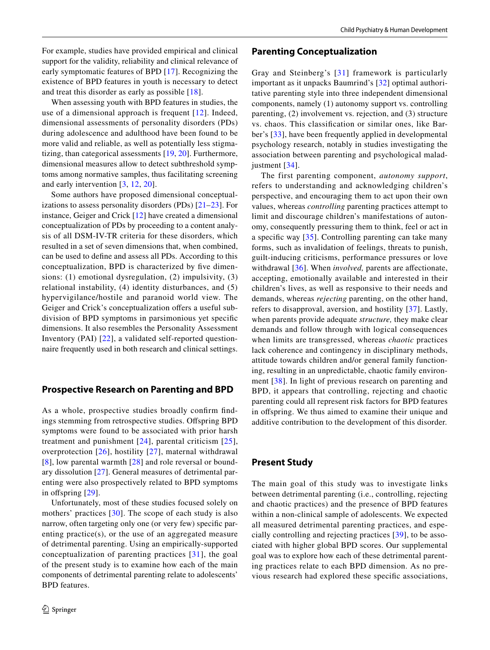When assessing youth with BPD features in studies, the use of a dimensional approach is frequent [[12](#page-9-8)]. Indeed, dimensional assessments of personality disorders (PDs) during adolescence and adulthood have been found to be more valid and reliable, as well as potentially less stigmatizing, than categorical assessments [[19,](#page-9-15) [20\]](#page-9-16). Furthermore, dimensional measures allow to detect subthreshold symptoms among normative samples, thus facilitating screening and early intervention [\[3,](#page-9-17) [12](#page-9-8), [20\]](#page-9-16).

Some authors have proposed dimensional conceptualizations to assess personality disorders (PDs) [[21](#page-9-18)[–23\]](#page-9-19). For instance, Geiger and Crick [\[12](#page-9-8)] have created a dimensional conceptualization of PDs by proceeding to a content analysis of all DSM-IV-TR criteria for these disorders, which resulted in a set of seven dimensions that, when combined, can be used to defne and assess all PDs. According to this conceptualization, BPD is characterized by fve dimensions: (1) emotional dysregulation, (2) impulsivity, (3) relational instability, (4) identity disturbances, and (5) hypervigilance/hostile and paranoid world view. The Geiger and Crick's conceptualization offers a useful subdivision of BPD symptoms in parsimonious yet specifc dimensions. It also resembles the Personality Assessment Inventory (PAI) [\[22\]](#page-9-20), a validated self-reported questionnaire frequently used in both research and clinical settings.

# **Prospective Research on Parenting and BPD**

As a whole, prospective studies broadly confrm fndings stemming from retrospective studies. Offspring BPD symptoms were found to be associated with prior harsh treatment and punishment [[24](#page-9-21)], parental criticism [\[25](#page-9-22)], overprotection [[26](#page-9-23)], hostility [[27](#page-9-24)], maternal withdrawal [[8\]](#page-9-4), low parental warmth [[28\]](#page-9-25) and role reversal or boundary dissolution [[27](#page-9-24)]. General measures of detrimental parenting were also prospectively related to BPD symptoms in offspring [[29\]](#page-9-26).

Unfortunately, most of these studies focused solely on mothers' practices  $[30]$  $[30]$  $[30]$ . The scope of each study is also narrow, often targeting only one (or very few) specifc parenting practice(s), or the use of an aggregated measure of detrimental parenting. Using an empirically-supported conceptualization of parenting practices [[31](#page-9-28)], the goal of the present study is to examine how each of the main components of detrimental parenting relate to adolescents' BPD features.

# **Parenting Conceptualization**

Gray and Steinberg's [[31](#page-9-28)] framework is particularly important as it unpacks Baumrind's [\[32\]](#page-9-29) optimal authoritative parenting style into three independent dimensional components, namely (1) autonomy support vs. controlling parenting, (2) involvement vs. rejection, and (3) structure vs. chaos. This classifcation or similar ones, like Barber's [\[33\]](#page-9-30), have been frequently applied in developmental psychology research, notably in studies investigating the association between parenting and psychological malad-justment [[34](#page-9-31)].

The first parenting component, *autonomy support*, refers to understanding and acknowledging children's perspective, and encouraging them to act upon their own values, whereas *controlling* parenting practices attempt to limit and discourage children's manifestations of autonomy, consequently pressuring them to think, feel or act in a specifc way [\[35\]](#page-9-32). Controlling parenting can take many forms, such as invalidation of feelings, threats to punish, guilt-inducing criticisms, performance pressures or love withdrawal [[36\]](#page-9-33). When *involved*, parents are affectionate, accepting, emotionally available and interested in their children's lives, as well as responsive to their needs and demands, whereas *rejecting* parenting, on the other hand, refers to disapproval, aversion, and hostility [[37](#page-9-34)]. Lastly, when parents provide adequate *structure,* they make clear demands and follow through with logical consequences when limits are transgressed, whereas *chaotic* practices lack coherence and contingency in disciplinary methods, attitude towards children and/or general family functioning, resulting in an unpredictable, chaotic family environment [\[38\]](#page-10-0). In light of previous research on parenting and BPD, it appears that controlling, rejecting and chaotic parenting could all represent risk factors for BPD features in offspring. We thus aimed to examine their unique and additive contribution to the development of this disorder.

# **Present Study**

The main goal of this study was to investigate links between detrimental parenting (i.e., controlling, rejecting and chaotic practices) and the presence of BPD features within a non-clinical sample of adolescents. We expected all measured detrimental parenting practices, and especially controlling and rejecting practices [[39\]](#page-10-1), to be associated with higher global BPD scores. Our supplemental goal was to explore how each of these detrimental parenting practices relate to each BPD dimension. As no previous research had explored these specifc associations,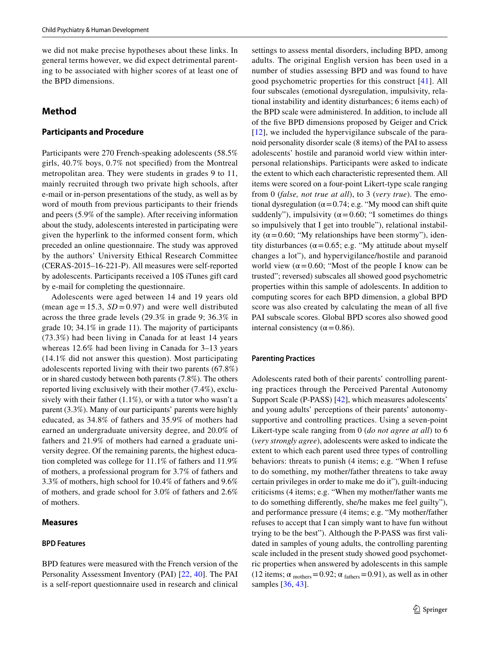we did not make precise hypotheses about these links. In general terms however, we did expect detrimental parenting to be associated with higher scores of at least one of the BPD dimensions.

# **Method**

## **Participants and Procedure**

Participants were 270 French-speaking adolescents (58.5% girls, 40.7% boys, 0.7% not specifed) from the Montreal metropolitan area. They were students in grades 9 to 11, mainly recruited through two private high schools, after e-mail or in-person presentations of the study, as well as by word of mouth from previous participants to their friends and peers (5.9% of the sample). After receiving information about the study, adolescents interested in participating were given the hyperlink to the informed consent form, which preceded an online questionnaire. The study was approved by the authors' University Ethical Research Committee (CERAS-2015–16-221-P). All measures were self-reported by adolescents. Participants received a 10\$ iTunes gift card by e-mail for completing the questionnaire.

Adolescents were aged between 14 and 19 years old (mean age  $= 15.3$ ,  $SD = 0.97$ ) and were well distributed across the three grade levels (29.3% in grade 9; 36.3% in grade 10; 34.1% in grade 11). The majority of participants (73.3%) had been living in Canada for at least 14 years whereas 12.6% had been living in Canada for 3–13 years (14.1% did not answer this question). Most participating adolescents reported living with their two parents (67.8%) or in shared custody between both parents (7.8%). The others reported living exclusively with their mother (7.4%), exclusively with their father  $(1.1\%)$ , or with a tutor who wasn't a parent (3.3%). Many of our participants' parents were highly educated, as 34.8% of fathers and 35.9% of mothers had earned an undergraduate university degree, and 20.0% of fathers and 21.9% of mothers had earned a graduate university degree. Of the remaining parents, the highest education completed was college for 11.1% of fathers and 11.9% of mothers, a professional program for 3.7% of fathers and 3.3% of mothers, high school for 10.4% of fathers and 9.6% of mothers, and grade school for 3.0% of fathers and 2.6% of mothers.

## **Measures**

# **BPD Features**

BPD features were measured with the French version of the Personality Assessment Inventory (PAI) [[22,](#page-9-20) [40](#page-10-2)]. The PAI is a self-report questionnaire used in research and clinical settings to assess mental disorders, including BPD, among adults. The original English version has been used in a number of studies assessing BPD and was found to have good psychometric properties for this construct [[41\]](#page-10-3). All four subscales (emotional dysregulation, impulsivity, relational instability and identity disturbances; 6 items each) of the BPD scale were administered. In addition, to include all of the fve BPD dimensions proposed by Geiger and Crick [[12\]](#page-9-8), we included the hypervigilance subscale of the paranoid personality disorder scale (8 items) of the PAI to assess adolescents' hostile and paranoid world view within interpersonal relationships. Participants were asked to indicate the extent to which each characteristic represented them. All items were scored on a four-point Likert-type scale ranging from 0 (*false, not true at all*), to 3 (*very true*). The emotional dysregulation ( $\alpha$  = 0.74; e.g. "My mood can shift quite suddenly"), impulsivity ( $\alpha$  = 0.60; "I sometimes do things so impulsively that I get into trouble"), relational instability ( $\alpha$  = 0.60; "My relationships have been stormy"), identity disturbances ( $\alpha$  = 0.65; e.g. "My attitude about myself changes a lot"), and hypervigilance/hostile and paranoid world view ( $\alpha$  = 0.60; "Most of the people I know can be trusted"; reversed) subscales all showed good psychometric properties within this sample of adolescents. In addition to computing scores for each BPD dimension, a global BPD score was also created by calculating the mean of all fve PAI subscale scores. Global BPD scores also showed good internal consistency ( $\alpha$  = 0.86).

#### **Parenting Practices**

Adolescents rated both of their parents' controlling parenting practices through the Perceived Parental Autonomy Support Scale (P-PASS) [[42\]](#page-10-4), which measures adolescents' and young adults' perceptions of their parents' autonomysupportive and controlling practices. Using a seven-point Likert-type scale ranging from 0 (*do not agree at all*) to 6 (*very strongly agree*), adolescents were asked to indicate the extent to which each parent used three types of controlling behaviors: threats to punish (4 items; e.g. "When I refuse to do something, my mother/father threatens to take away certain privileges in order to make me do it"), guilt-inducing criticisms (4 items; e.g. "When my mother/father wants me to do something diferently, she/he makes me feel guilty"), and performance pressure (4 items; e.g. "My mother/father refuses to accept that I can simply want to have fun without trying to be the best"). Although the P-PASS was frst validated in samples of young adults, the controlling parenting scale included in the present study showed good psychometric properties when answered by adolescents in this sample (12 items;  $\alpha_{\text{mothers}}$  = 0.92;  $\alpha_{\text{fatters}}$  = 0.91), as well as in other samples [\[36,](#page-9-33) [43\]](#page-10-5).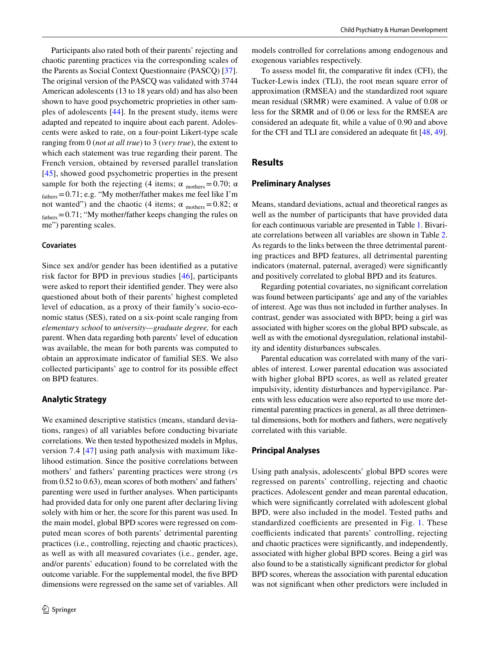Participants also rated both of their parents' rejecting and chaotic parenting practices via the corresponding scales of the Parents as Social Context Questionnaire (PASCQ) [[37](#page-9-34)]. The original version of the PASCQ was validated with 3744 American adolescents (13 to 18 years old) and has also been shown to have good psychometric proprieties in other samples of adolescents [[44\]](#page-10-6). In the present study, items were adapted and repeated to inquire about each parent. Adolescents were asked to rate, on a four-point Likert-type scale ranging from 0 (*not at all true*) to 3 (*very true*), the extent to which each statement was true regarding their parent. The French version, obtained by reversed parallel translation [\[45\]](#page-10-7), showed good psychometric properties in the present sample for both the rejecting (4 items;  $\alpha$  mothers = 0.70;  $\alpha$ fathers=0.71; e.g. "My mother/father makes me feel like I'm not wanted") and the chaotic (4 items;  $\alpha$ <sub>mothers</sub>=0.82; α  $f_{\text{athers}}=0.71$ ; "My mother/father keeps changing the rules on me") parenting scales.

# **Covariates**

Since sex and/or gender has been identifed as a putative risk factor for BPD in previous studies [[46](#page-10-8)], participants were asked to report their identifed gender. They were also questioned about both of their parents' highest completed level of education, as a proxy of their family's socio-economic status (SES), rated on a six-point scale ranging from *elementary school* to *university—graduate degree,* for each parent. When data regarding both parents' level of education was available, the mean for both parents was computed to obtain an approximate indicator of familial SES. We also collected participants' age to control for its possible efect on BPD features.

## **Analytic Strategy**

We examined descriptive statistics (means, standard deviations, ranges) of all variables before conducting bivariate correlations. We then tested hypothesized models in Mplus, version 7.4 [[47](#page-10-9)] using path analysis with maximum likelihood estimation. Since the positive correlations between mothers' and fathers' parenting practices were strong (*r*s from 0.52 to 0.63), mean scores of both mothers' and fathers' parenting were used in further analyses. When participants had provided data for only one parent after declaring living solely with him or her, the score for this parent was used. In the main model, global BPD scores were regressed on computed mean scores of both parents' detrimental parenting practices (i.e., controlling, rejecting and chaotic practices), as well as with all measured covariates (i.e., gender, age, and/or parents' education) found to be correlated with the outcome variable. For the supplemental model, the fve BPD dimensions were regressed on the same set of variables. All models controlled for correlations among endogenous and exogenous variables respectively.

To assess model ft, the comparative ft index (CFI), the Tucker-Lewis index (TLI), the root mean square error of approximation (RMSEA) and the standardized root square mean residual (SRMR) were examined. A value of 0.08 or less for the SRMR and of 0.06 or less for the RMSEA are considered an adequate ft, while a value of 0.90 and above for the CFI and TLI are considered an adequate ft [\[48](#page-10-10), [49](#page-10-11)].

# **Results**

# **Preliminary Analyses**

Means, standard deviations, actual and theoretical ranges as well as the number of participants that have provided data for each continuous variable are presented in Table [1.](#page-4-0) Bivariate correlations between all variables are shown in Table [2.](#page-5-0) As regards to the links between the three detrimental parenting practices and BPD features, all detrimental parenting indicators (maternal, paternal, averaged) were signifcantly and positively correlated to global BPD and its features.

Regarding potential covariates, no signifcant correlation was found between participants' age and any of the variables of interest. Age was thus not included in further analyses. In contrast, gender was associated with BPD; being a girl was associated with higher scores on the global BPD subscale, as well as with the emotional dysregulation, relational instability and identity disturbances subscales.

Parental education was correlated with many of the variables of interest. Lower parental education was associated with higher global BPD scores, as well as related greater impulsivity, identity disturbances and hypervigilance. Parents with less education were also reported to use more detrimental parenting practices in general, as all three detrimental dimensions, both for mothers and fathers, were negatively correlated with this variable.

#### **Principal Analyses**

Using path analysis, adolescents' global BPD scores were regressed on parents' controlling, rejecting and chaotic practices. Adolescent gender and mean parental education, which were signifcantly correlated with adolescent global BPD, were also included in the model. Tested paths and standardized coefficients are presented in Fig. [1](#page-6-0). These coefficients indicated that parents' controlling, rejecting and chaotic practices were signifcantly, and independently, associated with higher global BPD scores. Being a girl was also found to be a statistically signifcant predictor for global BPD scores, whereas the association with parental education was not signifcant when other predictors were included in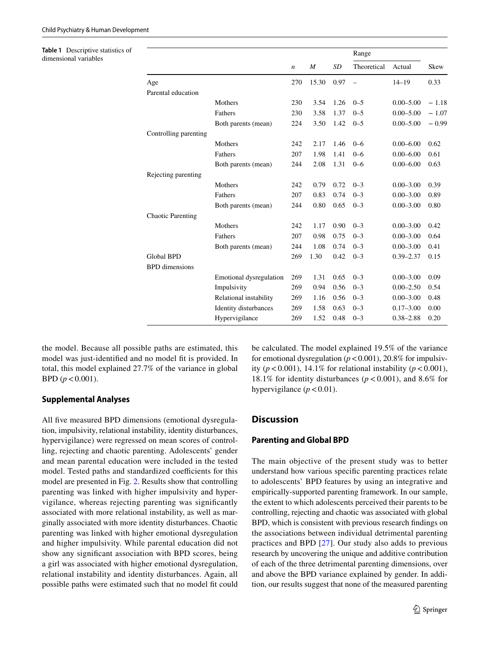<span id="page-4-0"></span>**Table 1** Descriptive statistics of dimensional variables

|                          |                         |                  |                  |      | Range       |               |         |
|--------------------------|-------------------------|------------------|------------------|------|-------------|---------------|---------|
|                          |                         | $\boldsymbol{n}$ | $\boldsymbol{M}$ | SD   | Theoretical | Actual        | Skew    |
| Age                      |                         | 270              | 15.30            | 0.97 |             | $14 - 19$     | 0.33    |
| Parental education       |                         |                  |                  |      |             |               |         |
|                          | Mothers                 | 230              | 3.54             | 1.26 | $0 - 5$     | $0.00 - 5.00$ | $-1.18$ |
|                          | Fathers                 | 230              | 3.58             | 1.37 | $0 - 5$     | $0.00 - 5.00$ | $-1.07$ |
|                          | Both parents (mean)     | 224              | 3.50             | 1.42 | $0 - 5$     | $0.00 - 5.00$ | $-0.99$ |
| Controlling parenting    |                         |                  |                  |      |             |               |         |
|                          | Mothers                 | 242              | 2.17             | 1.46 | $0 - 6$     | $0.00 - 6.00$ | 0.62    |
|                          | Fathers                 | 207              | 1.98             | 1.41 | $0 - 6$     | $0.00 - 6.00$ | 0.61    |
|                          | Both parents (mean)     | 244              | 2.08             | 1.31 | $0 - 6$     | $0.00 - 6.00$ | 0.63    |
| Rejecting parenting      |                         |                  |                  |      |             |               |         |
|                          | Mothers                 | 242              | 0.79             | 0.72 | $0 - 3$     | $0.00 - 3.00$ | 0.39    |
|                          | Fathers                 | 207              | 0.83             | 0.74 | $0 - 3$     | $0.00 - 3.00$ | 0.89    |
|                          | Both parents (mean)     | 244              | 0.80             | 0.65 | $0 - 3$     | $0.00 - 3.00$ | 0.80    |
| <b>Chaotic Parenting</b> |                         |                  |                  |      |             |               |         |
|                          | Mothers                 | 242              | 1.17             | 0.90 | $0 - 3$     | $0.00 - 3.00$ | 0.42    |
|                          | Fathers                 | 207              | 0.98             | 0.75 | $0 - 3$     | $0.00 - 3.00$ | 0.64    |
|                          | Both parents (mean)     | 244              | 1.08             | 0.74 | $0 - 3$     | $0.00 - 3.00$ | 0.41    |
| <b>Global BPD</b>        |                         | 269              | 1.30             | 0.42 | $0 - 3$     | $0.39 - 2.37$ | 0.15    |
| <b>BPD</b> dimensions    |                         |                  |                  |      |             |               |         |
|                          | Emotional dysregulation | 269              | 1.31             | 0.65 | $0 - 3$     | $0.00 - 3.00$ | 0.09    |
|                          | Impulsivity             | 269              | 0.94             | 0.56 | $0 - 3$     | $0.00 - 2.50$ | 0.54    |
|                          | Relational instability  | 269              | 1.16             | 0.56 | $0 - 3$     | $0.00 - 3.00$ | 0.48    |
|                          | Identity disturbances   | 269              | 1.58             | 0.63 | $0 - 3$     | $0.17 - 3.00$ | 0.00    |
|                          | Hypervigilance          | 269              | 1.52             | 0.48 | $0 - 3$     | $0.38 - 2.88$ | 0.20    |

the model. Because all possible paths are estimated, this model was just-identifed and no model ft is provided. In total, this model explained 27.7% of the variance in global  $BPD (p < 0.001)$ .

## **Supplemental Analyses**

All five measured BPD dimensions (emotional dysregulation, impulsivity, relational instability, identity disturbances, hypervigilance) were regressed on mean scores of controlling, rejecting and chaotic parenting. Adolescents' gender and mean parental education were included in the tested model. Tested paths and standardized coefficients for this model are presented in Fig. [2](#page-6-1). Results show that controlling parenting was linked with higher impulsivity and hypervigilance, whereas rejecting parenting was signifcantly associated with more relational instability, as well as marginally associated with more identity disturbances. Chaotic parenting was linked with higher emotional dysregulation and higher impulsivity. While parental education did not show any signifcant association with BPD scores, being a girl was associated with higher emotional dysregulation, relational instability and identity disturbances. Again, all possible paths were estimated such that no model ft could be calculated. The model explained 19.5% of the variance for emotional dysregulation  $(p < 0.001)$ , 20.8% for impulsivity ( $p < 0.001$ ), 14.1% for relational instability ( $p < 0.001$ ), 18.1% for identity disturbances ( $p < 0.001$ ), and 8.6% for hypervigilance  $(p < 0.01)$ .

# **Discussion**

# **Parenting and Global BPD**

The main objective of the present study was to better understand how various specifc parenting practices relate to adolescents' BPD features by using an integrative and empirically-supported parenting framework. In our sample, the extent to which adolescents perceived their parents to be controlling, rejecting and chaotic was associated with global BPD, which is consistent with previous research fndings on the associations between individual detrimental parenting practices and BPD [[27](#page-9-24)]. Our study also adds to previous research by uncovering the unique and additive contribution of each of the three detrimental parenting dimensions, over and above the BPD variance explained by gender. In addition, our results suggest that none of the measured parenting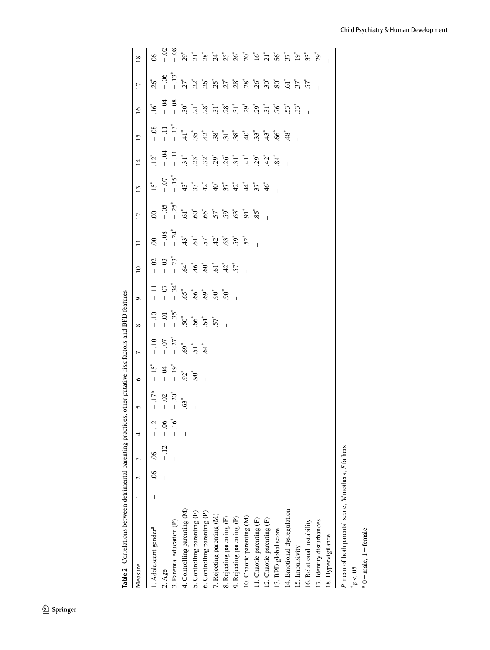| Measure                                             |  |       | 4      |                                        |                                                                      |                                                                                                                                                                                       |                                                                         |                                                                                                                                                   | $\overline{10}$ |          | $\overline{c}$ | $\overline{13}$                                                                                                                                                                                                                                                                                                                                                                      | $\overline{4}$ | $\overline{15}$                                                                                                                                                                                                                                                                                                                                                                                                           | 16                                                                                                                                                                                                                                                                                                                                                                                     | $\overline{17}$                                                                                                                                                                                                                                                                                                                                                                                                                                                   | $\frac{8}{2}$  |
|-----------------------------------------------------|--|-------|--------|----------------------------------------|----------------------------------------------------------------------|---------------------------------------------------------------------------------------------------------------------------------------------------------------------------------------|-------------------------------------------------------------------------|---------------------------------------------------------------------------------------------------------------------------------------------------|-----------------|----------|----------------|--------------------------------------------------------------------------------------------------------------------------------------------------------------------------------------------------------------------------------------------------------------------------------------------------------------------------------------------------------------------------------------|----------------|---------------------------------------------------------------------------------------------------------------------------------------------------------------------------------------------------------------------------------------------------------------------------------------------------------------------------------------------------------------------------------------------------------------------------|----------------------------------------------------------------------------------------------------------------------------------------------------------------------------------------------------------------------------------------------------------------------------------------------------------------------------------------------------------------------------------------|-------------------------------------------------------------------------------------------------------------------------------------------------------------------------------------------------------------------------------------------------------------------------------------------------------------------------------------------------------------------------------------------------------------------------------------------------------------------|----------------|
| l. Adolescent gender <sup>a</sup>                   |  | $-06$ |        | $-17^*$<br>$-02$<br>$-20^*$<br>$-63^*$ | $-15^{*}$<br>$-19^{*}$<br>$-19^{*}$<br>$-19^{*}$<br>$-90^{*}$<br>$-$ |                                                                                                                                                                                       |                                                                         |                                                                                                                                                   |                 | $\infty$ |                |                                                                                                                                                                                                                                                                                                                                                                                      |                |                                                                                                                                                                                                                                                                                                                                                                                                                           |                                                                                                                                                                                                                                                                                                                                                                                        | $\begin{array}{cccccccccc} \mathcal{C} & \mathcal{C} & \mathcal{C} & \mathcal{C} & \mathcal{C} & \mathcal{C} & \mathcal{C} & \mathcal{C} & \mathcal{C} & \mathcal{C} & \mathcal{C} & \mathcal{C} & \mathcal{C} & \mathcal{C} & \mathcal{C} & \mathcal{C} & \mathcal{C} & \mathcal{C} & \mathcal{C} & \mathcal{C} & \mathcal{C} & \mathcal{C} & \mathcal{C} & \mathcal{C} & \mathcal{C} & \mathcal{C} & \mathcal{C} & \mathcal{C} & \mathcal{C} & \mathcal{C} & \$ | 8 <sup>o</sup> |
| 2. Age                                              |  |       | ى<br>- |                                        |                                                                      |                                                                                                                                                                                       |                                                                         |                                                                                                                                                   |                 |          |                |                                                                                                                                                                                                                                                                                                                                                                                      |                |                                                                                                                                                                                                                                                                                                                                                                                                                           |                                                                                                                                                                                                                                                                                                                                                                                        |                                                                                                                                                                                                                                                                                                                                                                                                                                                                   |                |
| 3. Parental education (P)                           |  |       |        |                                        |                                                                      |                                                                                                                                                                                       |                                                                         |                                                                                                                                                   |                 |          |                |                                                                                                                                                                                                                                                                                                                                                                                      |                |                                                                                                                                                                                                                                                                                                                                                                                                                           |                                                                                                                                                                                                                                                                                                                                                                                        |                                                                                                                                                                                                                                                                                                                                                                                                                                                                   |                |
| 4. Controlling parenting (M)                        |  |       |        |                                        |                                                                      |                                                                                                                                                                                       |                                                                         |                                                                                                                                                   |                 |          |                |                                                                                                                                                                                                                                                                                                                                                                                      |                |                                                                                                                                                                                                                                                                                                                                                                                                                           |                                                                                                                                                                                                                                                                                                                                                                                        |                                                                                                                                                                                                                                                                                                                                                                                                                                                                   |                |
| 5. Controlling parenting (F)                        |  |       |        |                                        |                                                                      |                                                                                                                                                                                       |                                                                         |                                                                                                                                                   |                 |          |                |                                                                                                                                                                                                                                                                                                                                                                                      |                |                                                                                                                                                                                                                                                                                                                                                                                                                           |                                                                                                                                                                                                                                                                                                                                                                                        |                                                                                                                                                                                                                                                                                                                                                                                                                                                                   |                |
| 6. Controlling parenting (P)                        |  |       |        |                                        |                                                                      | $-10$<br>$-0$<br>$-0$<br>$-0$<br>$-0$<br>$-0$<br>$-0$<br>$-0$<br>$-0$<br>$-0$<br>$-0$<br>$-0$<br>$-0$<br>$-0$<br>$-0$<br>$-0$<br>$-0$<br>$-0$<br>$-0$<br>$-0$<br>$-0$<br>$-0$<br>$-0$ | $-10$<br>$-0.35$<br>$-0.55$<br>$-0.55$<br>$-0.55$<br>$-0.55$<br>$-0.55$ |                                                                                                                                                   |                 |          |                |                                                                                                                                                                                                                                                                                                                                                                                      |                |                                                                                                                                                                                                                                                                                                                                                                                                                           |                                                                                                                                                                                                                                                                                                                                                                                        |                                                                                                                                                                                                                                                                                                                                                                                                                                                                   |                |
| 7. Rejecting parenting (M)                          |  |       |        |                                        |                                                                      |                                                                                                                                                                                       |                                                                         |                                                                                                                                                   |                 |          |                |                                                                                                                                                                                                                                                                                                                                                                                      |                |                                                                                                                                                                                                                                                                                                                                                                                                                           |                                                                                                                                                                                                                                                                                                                                                                                        |                                                                                                                                                                                                                                                                                                                                                                                                                                                                   |                |
| 8. Rejecting parenting (F)                          |  |       |        |                                        |                                                                      |                                                                                                                                                                                       |                                                                         | $-11$<br>$-0.7$<br>$-0.5$<br>$-0.5$<br>$-0.5$<br>$-0.5$<br>$-0.5$<br>$-0.5$<br>$-0.5$<br>$-0.5$<br>$-0.5$<br>$-0.5$<br>$-0.5$<br>$-0.5$<br>$-0.5$ |                 |          |                | $\begin{array}{ccccccccc} \ddot{r} & \ddot{r} & \ddot{r} & \ddot{r} & \ddot{r} & \ddot{r} & \ddot{r} & \ddot{r} & \ddot{r} & \ddot{r} & \ddot{r} & \dot{r} & \dot{r} & \dot{r} & \dot{r} & \dot{r} & \dot{r} & \dot{r} & \dot{r} & \dot{r} & \dot{r} & \dot{r} & \dot{r} & \dot{r} & \dot{r} & \dot{r} & \dot{r} & \dot{r} & \dot{r} & \dot{r} & \dot{r} & \dot{r} & \dot{r} & \dot$ |                | $\frac{1}{2} \left[ \begin{array}{rrrr} 1 & \frac{1}{2} & \frac{1}{2} & \frac{1}{2} & \frac{1}{2} \\ \frac{1}{2} & \frac{1}{2} & \frac{1}{2} & \frac{1}{2} & \frac{1}{2} \\ \frac{1}{2} & \frac{1}{2} & \frac{1}{2} & \frac{1}{2} & \frac{1}{2} \\ \frac{1}{2} & \frac{1}{2} & \frac{1}{2} & \frac{1}{2} & \frac{1}{2} & \frac{1}{2} \end{array} \right] \frac{1}{2} \left[ \begin{array}{rrrr} 1 & \frac{1}{2} & \frac{$ | $\begin{array}{l} \mathbf{r}^{2}=\mathbf{r}^{2}-\mathbf{r}^{2}-\mathbf{r}^{2}=\mathbf{r}^{2}-\mathbf{r}^{2}-\mathbf{r}^{2}-\mathbf{r}^{2}-\mathbf{r}^{2}-\mathbf{r}^{2}-\mathbf{r}^{2}-\mathbf{r}^{2}-\mathbf{r}^{2}-\mathbf{r}^{2}-\mathbf{r}^{2}-\mathbf{r}^{2}-\mathbf{r}^{2}-\mathbf{r}^{2}-\mathbf{r}^{2}-\mathbf{r}^{2}-\mathbf{r}^{2}-\mathbf{r}^{2}-\mathbf{r}^{2}-\mathbf{r}$ |                                                                                                                                                                                                                                                                                                                                                                                                                                                                   |                |
| 9. Rejecting parenting (P)                          |  |       |        |                                        |                                                                      |                                                                                                                                                                                       |                                                                         |                                                                                                                                                   |                 |          |                |                                                                                                                                                                                                                                                                                                                                                                                      |                |                                                                                                                                                                                                                                                                                                                                                                                                                           |                                                                                                                                                                                                                                                                                                                                                                                        |                                                                                                                                                                                                                                                                                                                                                                                                                                                                   |                |
| 10. Chaotic parenting (M)                           |  |       |        |                                        |                                                                      |                                                                                                                                                                                       |                                                                         |                                                                                                                                                   |                 |          |                |                                                                                                                                                                                                                                                                                                                                                                                      |                |                                                                                                                                                                                                                                                                                                                                                                                                                           |                                                                                                                                                                                                                                                                                                                                                                                        |                                                                                                                                                                                                                                                                                                                                                                                                                                                                   |                |
| 11. Chaotic parenting (F)                           |  |       |        |                                        |                                                                      |                                                                                                                                                                                       |                                                                         |                                                                                                                                                   |                 |          |                |                                                                                                                                                                                                                                                                                                                                                                                      |                |                                                                                                                                                                                                                                                                                                                                                                                                                           |                                                                                                                                                                                                                                                                                                                                                                                        |                                                                                                                                                                                                                                                                                                                                                                                                                                                                   |                |
| 12. Chaotic parenting (P)                           |  |       |        |                                        |                                                                      |                                                                                                                                                                                       |                                                                         |                                                                                                                                                   |                 |          |                |                                                                                                                                                                                                                                                                                                                                                                                      |                |                                                                                                                                                                                                                                                                                                                                                                                                                           |                                                                                                                                                                                                                                                                                                                                                                                        |                                                                                                                                                                                                                                                                                                                                                                                                                                                                   |                |
| 13. BPD global score                                |  |       |        |                                        |                                                                      |                                                                                                                                                                                       |                                                                         |                                                                                                                                                   |                 |          |                |                                                                                                                                                                                                                                                                                                                                                                                      |                |                                                                                                                                                                                                                                                                                                                                                                                                                           |                                                                                                                                                                                                                                                                                                                                                                                        |                                                                                                                                                                                                                                                                                                                                                                                                                                                                   |                |
| 14. Emotional dysregulation                         |  |       |        |                                        |                                                                      |                                                                                                                                                                                       |                                                                         |                                                                                                                                                   |                 |          |                |                                                                                                                                                                                                                                                                                                                                                                                      |                |                                                                                                                                                                                                                                                                                                                                                                                                                           |                                                                                                                                                                                                                                                                                                                                                                                        |                                                                                                                                                                                                                                                                                                                                                                                                                                                                   |                |
| 15. Impulsivity                                     |  |       |        |                                        |                                                                      |                                                                                                                                                                                       |                                                                         |                                                                                                                                                   |                 |          |                |                                                                                                                                                                                                                                                                                                                                                                                      |                |                                                                                                                                                                                                                                                                                                                                                                                                                           |                                                                                                                                                                                                                                                                                                                                                                                        |                                                                                                                                                                                                                                                                                                                                                                                                                                                                   |                |
| 16. Relational instability                          |  |       |        |                                        |                                                                      |                                                                                                                                                                                       |                                                                         |                                                                                                                                                   |                 |          |                |                                                                                                                                                                                                                                                                                                                                                                                      |                |                                                                                                                                                                                                                                                                                                                                                                                                                           |                                                                                                                                                                                                                                                                                                                                                                                        |                                                                                                                                                                                                                                                                                                                                                                                                                                                                   |                |
| 17. Identity disturbances                           |  |       |        |                                        |                                                                      |                                                                                                                                                                                       |                                                                         |                                                                                                                                                   |                 |          |                |                                                                                                                                                                                                                                                                                                                                                                                      |                |                                                                                                                                                                                                                                                                                                                                                                                                                           |                                                                                                                                                                                                                                                                                                                                                                                        |                                                                                                                                                                                                                                                                                                                                                                                                                                                                   |                |
| 18. Hypervigilance                                  |  |       |        |                                        |                                                                      |                                                                                                                                                                                       |                                                                         |                                                                                                                                                   |                 |          |                |                                                                                                                                                                                                                                                                                                                                                                                      |                |                                                                                                                                                                                                                                                                                                                                                                                                                           |                                                                                                                                                                                                                                                                                                                                                                                        |                                                                                                                                                                                                                                                                                                                                                                                                                                                                   |                |
| P mean of both parents' score, M mothers, F fathers |  |       |        |                                        |                                                                      |                                                                                                                                                                                       |                                                                         |                                                                                                                                                   |                 |          |                |                                                                                                                                                                                                                                                                                                                                                                                      |                |                                                                                                                                                                                                                                                                                                                                                                                                                           |                                                                                                                                                                                                                                                                                                                                                                                        |                                                                                                                                                                                                                                                                                                                                                                                                                                                                   |                |
| p < 05                                              |  |       |        |                                        |                                                                      |                                                                                                                                                                                       |                                                                         |                                                                                                                                                   |                 |          |                |                                                                                                                                                                                                                                                                                                                                                                                      |                |                                                                                                                                                                                                                                                                                                                                                                                                                           |                                                                                                                                                                                                                                                                                                                                                                                        |                                                                                                                                                                                                                                                                                                                                                                                                                                                                   |                |

**Table 2** Correlations between detrimental parenting practices, other putative risk factors and BPD features

 $a =$ male,  $1 =$ female

<span id="page-5-0"></span> $a_0$  = male, 1 = female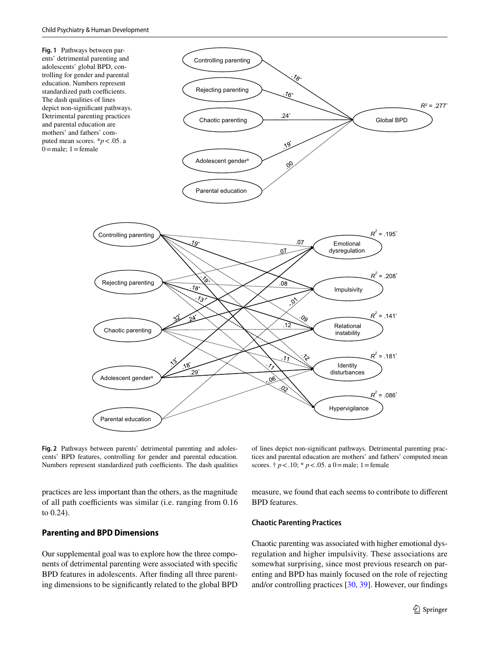<span id="page-6-0"></span>

<span id="page-6-1"></span>**Fig. 2** Pathways between parents' detrimental parenting and adolescents' BPD features, controlling for gender and parental education. Numbers represent standardized path coefficients. The dash qualities

practices are less important than the others, as the magnitude of all path coefficients was similar (i.e. ranging from 0.16 to 0.24).

#### **Parenting and BPD Dimensions**

Our supplemental goal was to explore how the three components of detrimental parenting were associated with specifc BPD features in adolescents. After fnding all three parenting dimensions to be signifcantly related to the global BPD of lines depict non-signifcant pathways. Detrimental parenting practices and parental education are mothers' and fathers' computed mean scores.  $\dagger p < .10$ ; \*  $p < .05$ . a 0 = male; 1 = female

measure, we found that each seems to contribute to diferent BPD features.

#### **Chaotic Parenting Practices**

Chaotic parenting was associated with higher emotional dysregulation and higher impulsivity. These associations are somewhat surprising, since most previous research on parenting and BPD has mainly focused on the role of rejecting and/or controlling practices [\[30](#page-9-27), [39](#page-10-1)]. However, our fndings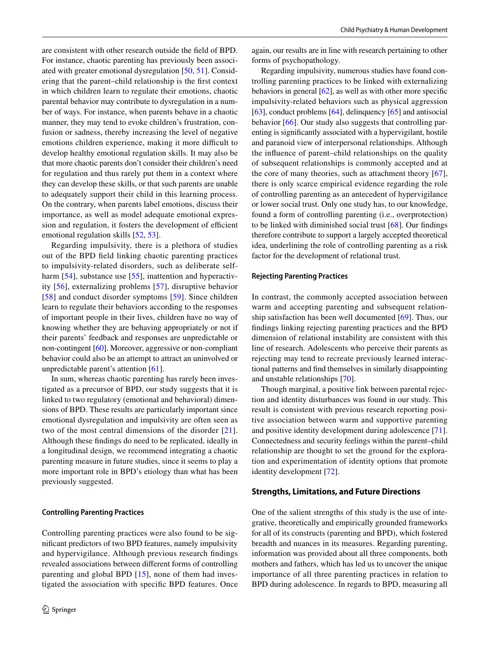are consistent with other research outside the feld of BPD. For instance, chaotic parenting has previously been associated with greater emotional dysregulation [[50,](#page-10-12) [51\]](#page-10-13). Considering that the parent–child relationship is the frst context in which children learn to regulate their emotions, chaotic parental behavior may contribute to dysregulation in a number of ways. For instance, when parents behave in a chaotic manner, they may tend to evoke children's frustration, confusion or sadness, thereby increasing the level of negative emotions children experience, making it more difficult to develop healthy emotional regulation skills. It may also be that more chaotic parents don't consider their children's need for regulation and thus rarely put them in a context where they can develop these skills, or that such parents are unable to adequately support their child in this learning process. On the contrary, when parents label emotions, discuss their importance, as well as model adequate emotional expression and regulation, it fosters the development of efficient emotional regulation skills [\[52,](#page-10-14) [53\]](#page-10-15).

Regarding impulsivity, there is a plethora of studies out of the BPD feld linking chaotic parenting practices to impulsivity-related disorders, such as deliberate self-harm [\[54\]](#page-10-16), substance use [[55](#page-10-17)], inattention and hyperactivity [\[56\]](#page-10-18), externalizing problems [[57\]](#page-10-19), disruptive behavior [\[58\]](#page-10-20) and conduct disorder symptoms [\[59\]](#page-10-21). Since children learn to regulate their behaviors according to the responses of important people in their lives, children have no way of knowing whether they are behaving appropriately or not if their parents' feedback and responses are unpredictable or non-contingent [\[60](#page-10-22)]. Moreover, aggressive or non-compliant behavior could also be an attempt to attract an uninvolved or unpredictable parent's attention [\[61](#page-10-23)].

In sum, whereas chaotic parenting has rarely been investigated as a precursor of BPD, our study suggests that it is linked to two regulatory (emotional and behavioral) dimensions of BPD. These results are particularly important since emotional dysregulation and impulsivity are often seen as two of the most central dimensions of the disorder [[21](#page-9-18)]. Although these fndings do need to be replicated, ideally in a longitudinal design, we recommend integrating a chaotic parenting measure in future studies, since it seems to play a more important role in BPD's etiology than what has been previously suggested.

#### **Controlling Parenting Practices**

Controlling parenting practices were also found to be signifcant predictors of two BPD features, namely impulsivity and hypervigilance. Although previous research fndings revealed associations between diferent forms of controlling parenting and global BPD  $[15]$ , none of them had investigated the association with specifc BPD features. Once again, our results are in line with research pertaining to other forms of psychopathology.

Regarding impulsivity, numerous studies have found controlling parenting practices to be linked with externalizing behaviors in general  $[62]$  $[62]$ , as well as with other more specific impulsivity-related behaviors such as physical aggression [\[63](#page-10-25)], conduct problems [\[64\]](#page-10-26), delinquency [[65](#page-10-27)] and antisocial behavior [\[66](#page-10-28)]. Our study also suggests that controlling parenting is signifcantly associated with a hypervigilant, hostile and paranoid view of interpersonal relationships. Although the infuence of parent–child relationships on the quality of subsequent relationships is commonly accepted and at the core of many theories, such as attachment theory [\[67](#page-10-29)], there is only scarce empirical evidence regarding the role of controlling parenting as an antecedent of hypervigilance or lower social trust. Only one study has, to our knowledge, found a form of controlling parenting (i.e., overprotection) to be linked with diminished social trust  $[68]$  $[68]$ . Our findings therefore contribute to support a largely accepted theoretical idea, underlining the role of controlling parenting as a risk factor for the development of relational trust.

#### **Rejecting Parenting Practices**

In contrast, the commonly accepted association between warm and accepting parenting and subsequent relationship satisfaction has been well documented [[69\]](#page-10-31). Thus, our fndings linking rejecting parenting practices and the BPD dimension of relational instability are consistent with this line of research. Adolescents who perceive their parents as rejecting may tend to recreate previously learned interactional patterns and fnd themselves in similarly disappointing and unstable relationships [[70\]](#page-10-32).

Though marginal, a positive link between parental rejection and identity disturbances was found in our study. This result is consistent with previous research reporting positive association between warm and supportive parenting and positive identity development during adolescence [\[71](#page-10-33)]. Connectedness and security feelings within the parent–child relationship are thought to set the ground for the exploration and experimentation of identity options that promote identity development [\[72](#page-10-34)].

#### **Strengths, Limitations, and Future Directions**

One of the salient strengths of this study is the use of integrative, theoretically and empirically grounded frameworks for all of its constructs (parenting and BPD), which fostered breadth and nuances in its measures. Regarding parenting, information was provided about all three components, both mothers and fathers, which has led us to uncover the unique importance of all three parenting practices in relation to BPD during adolescence. In regards to BPD, measuring all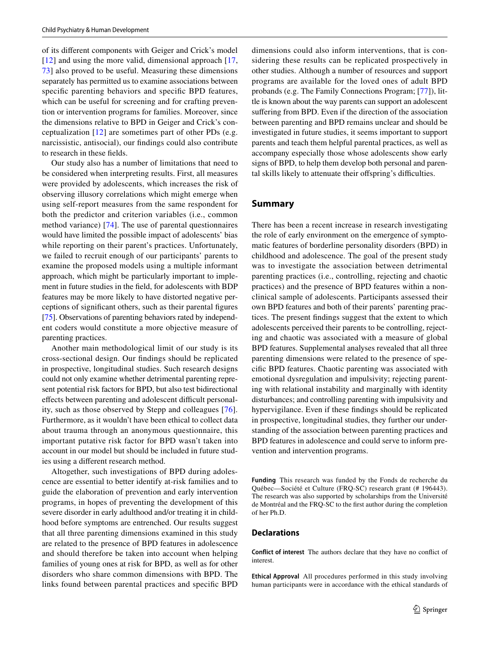of its diferent components with Geiger and Crick's model  $[12]$  and using the more valid, dimensional approach  $[17]$ , [73](#page-10-35)] also proved to be useful. Measuring these dimensions separately has permitted us to examine associations between specifc parenting behaviors and specifc BPD features, which can be useful for screening and for crafting prevention or intervention programs for families. Moreover, since the dimensions relative to BPD in Geiger and Crick's conceptualization [[12](#page-9-8)] are sometimes part of other PDs (e.g. narcissistic, antisocial), our fndings could also contribute to research in these felds.

Our study also has a number of limitations that need to be considered when interpreting results. First, all measures were provided by adolescents, which increases the risk of observing illusory correlations which might emerge when using self-report measures from the same respondent for both the predictor and criterion variables (i.e., common method variance) [[74](#page-10-36)]. The use of parental questionnaires would have limited the possible impact of adolescents' bias while reporting on their parent's practices. Unfortunately, we failed to recruit enough of our participants' parents to examine the proposed models using a multiple informant approach, which might be particularly important to implement in future studies in the feld, for adolescents with BDP features may be more likely to have distorted negative perceptions of signifcant others, such as their parental fgures [\[75](#page-10-37)]. Observations of parenting behaviors rated by independent coders would constitute a more objective measure of parenting practices.

Another main methodological limit of our study is its cross-sectional design. Our fndings should be replicated in prospective, longitudinal studies. Such research designs could not only examine whether detrimental parenting represent potential risk factors for BPD, but also test bidirectional effects between parenting and adolescent difficult personality, such as those observed by Stepp and colleagues [[76](#page-11-0)]. Furthermore, as it wouldn't have been ethical to collect data about trauma through an anonymous questionnaire, this important putative risk factor for BPD wasn't taken into account in our model but should be included in future studies using a diferent research method.

Altogether, such investigations of BPD during adolescence are essential to better identify at-risk families and to guide the elaboration of prevention and early intervention programs, in hopes of preventing the development of this severe disorder in early adulthood and/or treating it in childhood before symptoms are entrenched. Our results suggest that all three parenting dimensions examined in this study are related to the presence of BPD features in adolescence and should therefore be taken into account when helping families of young ones at risk for BPD, as well as for other disorders who share common dimensions with BPD. The links found between parental practices and specifc BPD dimensions could also inform interventions, that is considering these results can be replicated prospectively in other studies. Although a number of resources and support programs are available for the loved ones of adult BPD probands (e.g. The Family Connections Program; [[77\]](#page-11-1)), little is known about the way parents can support an adolescent sufering from BPD. Even if the direction of the association between parenting and BPD remains unclear and should be investigated in future studies, it seems important to support parents and teach them helpful parental practices, as well as accompany especially those whose adolescents show early signs of BPD, to help them develop both personal and parental skills likely to attenuate their offspring's difficulties.

# **Summary**

There has been a recent increase in research investigating the role of early environment on the emergence of symptomatic features of borderline personality disorders (BPD) in childhood and adolescence. The goal of the present study was to investigate the association between detrimental parenting practices (i.e., controlling, rejecting and chaotic practices) and the presence of BPD features within a nonclinical sample of adolescents. Participants assessed their own BPD features and both of their parents' parenting practices. The present fndings suggest that the extent to which adolescents perceived their parents to be controlling, rejecting and chaotic was associated with a measure of global BPD features. Supplemental analyses revealed that all three parenting dimensions were related to the presence of specifc BPD features. Chaotic parenting was associated with emotional dysregulation and impulsivity; rejecting parenting with relational instability and marginally with identity disturbances; and controlling parenting with impulsivity and hypervigilance. Even if these fndings should be replicated in prospective, longitudinal studies, they further our understanding of the association between parenting practices and BPD features in adolescence and could serve to inform prevention and intervention programs.

**Funding** This research was funded by the Fonds de recherche du Québec—Société et Culture (FRQ-SC) research grant (# 196443). The research was also supported by scholarships from the Université de Montréal and the FRQ-SC to the frst author during the completion of her Ph.D.

# **Declarations**

**Conflict of interest** The authors declare that they have no confict of interest.

**Ethical Approval** All procedures performed in this study involving human participants were in accordance with the ethical standards of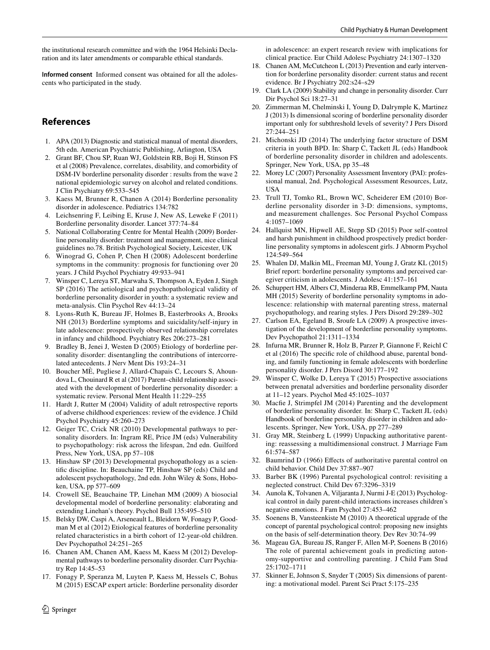the institutional research committee and with the 1964 Helsinki Declaration and its later amendments or comparable ethical standards.

**Informed consent** Informed consent was obtained for all the adolescents who participated in the study.

# **References**

- <span id="page-9-0"></span>1. APA (2013) Diagnostic and statistical manual of mental disorders, 5th edn. American Psychiatric Publishing, Arlington, USA
- <span id="page-9-1"></span>2. Grant BF, Chou SP, Ruan WJ, Goldstein RB, Boji H, Stinson FS et al (2008) Prevalence, correlates, disability, and comorbidity of DSM-IV borderline personality disorder : results from the wave 2 national epidemiologic survey on alcohol and related conditions. J Clin Psychiatry 69:533–545
- <span id="page-9-17"></span>3. Kaess M, Brunner R, Chanen A (2014) Borderline personality disorder in adolescence. Pediatrics 134:782
- 4. Leichsenring F, Leibing E, Kruse J, New AS, Leweke F (2011) Borderline personality disorder. Lancet 377:74–84
- 5. National Collaborating Centre for Mental Health (2009) Borderline personality disorder: treatment and management, nice clinical guidelines no.78. British Psychological Society, Leicester, UK
- <span id="page-9-2"></span>6. Winograd G, Cohen P, Chen H (2008) Adolescent borderline symptoms in the community: prognosis for functioning over 20 years. J Child Psychol Psychiatry 49:933–941
- <span id="page-9-3"></span>7. Winsper C, Lereya ST, Marwaha S, Thompson A, Eyden J, Singh SP (2016) The aetiological and psychopathological validity of borderline personality disorder in youth: a systematic review and meta-analysis. Clin Psychol Rev 44:13–24
- <span id="page-9-4"></span>8. Lyons-Ruth K, Bureau JF, Holmes B, Easterbrooks A, Brooks NH (2013) Borderline symptoms and suicidality/self-injury in late adolescence: prospectively observed relationship correlates in infancy and childhood. Psychiatry Res 206:273–281
- <span id="page-9-5"></span>9. Bradley B, Jenei J, Westen D (2005) Etiology of borderline personality disorder: disentangling the contributions of intercorrelated antecedents. J Nerv Ment Dis 193:24–31
- <span id="page-9-6"></span>10. Boucher MÈ, Pugliese J, Allard-Chapais C, Lecours S, Ahoundova L, Chouinard R et al (2017) Parent–child relationship associated with the development of borderline personality disorder: a systematic review. Personal Ment Health 11:229–255
- <span id="page-9-7"></span>11. Hardt J, Rutter M (2004) Validity of adult retrospective reports of adverse childhood experiences: review of the evidence. J Child Psychol Psychiatry 45:260–273
- <span id="page-9-8"></span>12. Geiger TC, Crick NR (2010) Developmental pathways to personality disorders. In: Ingram RE, Price JM (eds) Vulnerability to psychopathology: risk across the lifespan, 2nd edn. Guilford Press, New York, USA, pp 57–108
- <span id="page-9-9"></span>13. Hinshaw SP (2013) Developmental psychopathology as a scientifc discipline. In: Beauchaine TP, Hinshaw SP (eds) Child and adolescent psychopathology, 2nd edn. John Wiley & Sons, Hoboken, USA, pp 577–609
- <span id="page-9-10"></span>14. Crowell SE, Beauchaine TP, Linehan MM (2009) A biosocial developmental model of borderline personality: elaborating and extending Linehan's theory. Psychol Bull 135:495–510
- <span id="page-9-11"></span>15. Belsky DW, Caspi A, Arseneault L, Bleidorn W, Fonagy P, Goodman M et al (2012) Etiological features of borderline personality related characteristics in a birth cohort of 12-year-old children. Dev Psychopathol 24:251–265
- <span id="page-9-12"></span>16. Chanen AM, Chanen AM, Kaess M, Kaess M (2012) Developmental pathways to borderline personality disorder. Curr Psychiatry Rep 14:45–53
- <span id="page-9-13"></span>17. Fonagy P, Speranza M, Luyten P, Kaess M, Hessels C, Bohus M (2015) ESCAP expert article: Borderline personality disorder

 $\circled{2}$  Springer

in adolescence: an expert research review with implications for clinical practice. Eur Child Adolesc Psychiatry 24:1307–1320

- <span id="page-9-14"></span>18. Chanen AM, McCutcheon L (2013) Prevention and early intervention for borderline personality disorder: current status and recent evidence. Br J Psychiatry 202:s24–s29
- <span id="page-9-15"></span>19. Clark LA (2009) Stability and change in personality disorder. Curr Dir Psychol Sci 18:27–31
- <span id="page-9-16"></span>20. Zimmerman M, Chelminski I, Young D, Dalrymple K, Martinez J (2013) Is dimensional scoring of borderline personality disorder important only for subthreshold levels of severity? J Pers Disord 27:244–251
- <span id="page-9-18"></span>21. Michonski JD (2014) The underlying factor structure of DSM criteria in youth BPD. In: Sharp C, Tackett JL (eds) Handbook of borderline personality disorder in children and adolescents. Springer, New York, USA, pp 35–48
- <span id="page-9-20"></span>22. Morey LC (2007) Personality Assessment Inventory (PAI): professional manual, 2nd. Psychological Assessment Resources, Lutz, USA
- <span id="page-9-19"></span>23. Trull TJ, Tomko RL, Brown WC, Scheiderer EM (2010) Borderline personality disorder in 3-D: dimensions, symptoms, and measurement challenges. Soc Personal Psychol Compass 4:1057–1069
- <span id="page-9-21"></span>24. Hallquist MN, Hipwell AE, Stepp SD (2015) Poor self-control and harsh punishment in childhood prospectively predict borderline personality symptoms in adolescent girls. J Abnorm Psychol 124:549–564
- <span id="page-9-22"></span>25. Whalen DJ, Malkin ML, Freeman MJ, Young J, Gratz KL (2015) Brief report: borderline personality symptoms and perceived caregiver criticism in adolescents. J Adolesc 41:157–161
- <span id="page-9-23"></span>26. Schuppert HM, Albers CJ, Minderaa RB, Emmelkamp PM, Nauta MH (2015) Severity of borderline personality symptoms in adolescence: relationship with maternal parenting stress, maternal psychopathology, and rearing styles. J Pers Disord 29:289–302
- <span id="page-9-24"></span>27. Carlson EA, Egeland B, Sroufe LA (2009) A prospective investigation of the development of borderline personality symptoms. Dev Psychopathol 21:1311–1334
- <span id="page-9-25"></span>28. Infurna MR, Brunner R, Holz B, Parzer P, Giannone F, Reichl C et al (2016) The specifc role of childhood abuse, parental bonding, and family functioning in female adolescents with borderline personality disorder. J Pers Disord 30:177–192
- <span id="page-9-26"></span>29. Winsper C, Wolke D, Lereya T (2015) Prospective associations between prenatal adversities and borderline personality disorder at 11–12 years. Psychol Med 45:1025–1037
- <span id="page-9-27"></span>30. Macfe J, Strimpfel JM (2014) Parenting and the development of borderline personality disorder. In: Sharp C, Tackett JL (eds) Handbook of borderline personality disorder in children and adolescents. Springer, New York, USA, pp 277–289
- <span id="page-9-28"></span>31. Gray MR, Steinberg L (1999) Unpacking authoritative parenting: reassessing a multidimensional construct. J Marriage Fam 61:574–587
- <span id="page-9-29"></span>32. Baumrind D (1966) Efects of authoritative parental control on child behavior. Child Dev 37:887–907
- <span id="page-9-30"></span>33. Barber BK (1996) Parental psychological control: revisiting a neglected construct. Child Dev 67:3296–3319
- <span id="page-9-31"></span>34. Aunola K, Tolvanen A, Viljaranta J, Nurmi J-E (2013) Psychological control in daily parent-child interactions increases children's negative emotions. J Fam Psychol 27:453–462
- <span id="page-9-32"></span>35. Soenens B, Vansteenkiste M (2010) A theoretical upgrade of the concept of parental psychological control: proposing new insights on the basis of self-determination theory. Dev Rev 30:74–99
- <span id="page-9-33"></span>36. Mageau GA, Bureau JS, Ranger F, Allen M-P, Soenens B (2016) The role of parental achievement goals in predicting autonomy-supportive and controlling parenting. J Child Fam Stud 25:1702–1711
- <span id="page-9-34"></span>37. Skinner E, Johnson S, Snyder T (2005) Six dimensions of parenting: a motivational model. Parent Sci Pract 5:175–235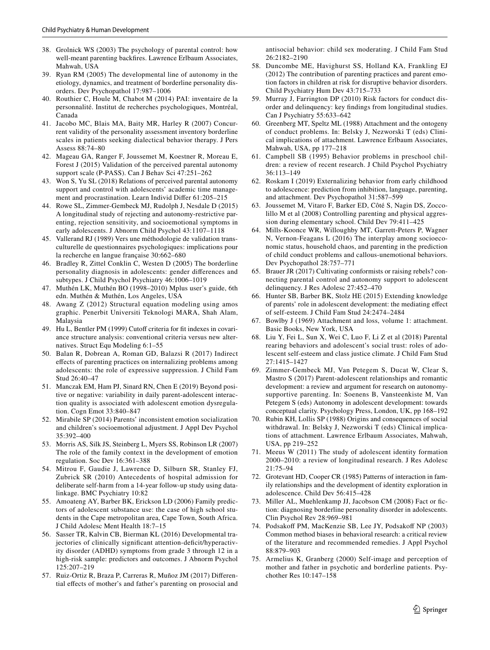- <span id="page-10-0"></span>38. Grolnick WS (2003) The psychology of parental control: how well-meant parenting backfres. Lawrence Erlbaum Associates, Mahwah, USA
- <span id="page-10-1"></span>39. Ryan RM (2005) The developmental line of autonomy in the etiology, dynamics, and treatment of borderline personality disorders. Dev Psychopathol 17:987–1006
- <span id="page-10-2"></span>40. Routhier C, Houle M, Chabot M (2014) PAI: inventaire de la personnalité. Institut de recherches psychologiques, Montréal, Canada
- <span id="page-10-3"></span>41. Jacobo MC, Blais MA, Baity MR, Harley R (2007) Concurrent validity of the personality assessment inventory borderline scales in patients seeking dialectical behavior therapy. J Pers Assess 88:74–80
- <span id="page-10-4"></span>42. Mageau GA, Ranger F, Joussemet M, Koestner R, Moreau E, Forest J (2015) Validation of the perceived parental autonomy support scale (P-PASS). Can J Behav Sci 47:251–262
- <span id="page-10-5"></span>43. Won S, Yu SL (2018) Relations of perceived parental autonomy support and control with adolescents' academic time management and procrastination. Learn Individ Difer 61:205–215
- <span id="page-10-6"></span>44. Rowe SL, Zimmer-Gembeck MJ, Rudolph J, Nesdale D (2015) A longitudinal study of rejecting and autonomy-restrictive parenting, rejection sensitivity, and socioemotional symptoms in early adolescents. J Abnorm Child Psychol 43:1107–1118
- <span id="page-10-7"></span>45. Vallerand RJ (1989) Vers une méthodologie de validation transculturelle de questionnaires psychologiques: implications pour la recherche en langue française 30:662–680
- <span id="page-10-8"></span>46. Bradley R, Zittel Conklin C, Westen D (2005) The borderline personality diagnosis in adolescents: gender diferences and subtypes. J Child Psychol Psychiatry 46:1006–1019
- <span id="page-10-9"></span>47. Muthén LK, Muthén BO (1998–2010) Mplus user's guide, 6th edn. Muthén & Muthén, Los Angeles, USA
- <span id="page-10-10"></span>48. Awang Z (2012) Structural equation modeling using amos graphic. Penerbit Universiti Teknologi MARA, Shah Alam, Malaysia
- <span id="page-10-11"></span>49. Hu L, Bentler PM (1999) Cutoff criteria for fit indexes in covariance structure analysis: conventional criteria versus new alternatives. Struct Equ Modeling 6:1–55
- <span id="page-10-12"></span>50. Balan R, Dobrean A, Roman GD, Balazsi R (2017) Indirect efects of parenting practices on internalizing problems among adolescents: the role of expressive suppression. J Child Fam Stud 26:40–47
- <span id="page-10-13"></span>51. Manczak EM, Ham PJ, Sinard RN, Chen E (2019) Beyond positive or negative: variability in daily parent-adolescent interaction quality is associated with adolescent emotion dysregulation. Cogn Emot 33:840–847
- <span id="page-10-14"></span>52. Mirabile SP (2014) Parents' inconsistent emotion socialization and children's socioemotional adjustment. J Appl Dev Psychol 35:392–400
- <span id="page-10-15"></span>53. Morris AS, Silk JS, Steinberg L, Myers SS, Robinson LR (2007) The role of the family context in the development of emotion regulation. Soc Dev 16:361–388
- <span id="page-10-16"></span>54. Mitrou F, Gaudie J, Lawrence D, Silburn SR, Stanley FJ, Zubrick SR (2010) Antecedents of hospital admission for deliberate self-harm from a 14-year follow-up study using datalinkage. BMC Psychiatry 10:82
- <span id="page-10-17"></span>55. Amoateng AY, Barber BK, Erickson LD (2006) Family predictors of adolescent substance use: the case of high school students in the Cape metropolitan area, Cape Town, South Africa. J Child Adolesc Ment Health 18:7–15
- <span id="page-10-18"></span>56. Sasser TR, Kalvin CB, Bierman KL (2016) Developmental trajectories of clinically significant attention-deficit/hyperactivity disorder (ADHD) symptoms from grade 3 through 12 in a high-risk sample: predictors and outcomes. J Abnorm Psychol 125:207–219
- <span id="page-10-19"></span>57. Ruiz-Ortiz R, Braza P, Carreras R, Muñoz JM (2017) Diferential efects of mother's and father's parenting on prosocial and

antisocial behavior: child sex moderating. J Child Fam Stud 26:2182–2190

- <span id="page-10-20"></span>58. Duncombe ME, Havighurst SS, Holland KA, Frankling EJ (2012) The contribution of parenting practices and parent emotion factors in children at risk for disruptive behavior disorders. Child Psychiatry Hum Dev 43:715–733
- <span id="page-10-21"></span>59. Murray J, Farrington DP (2010) Risk factors for conduct disorder and delinquency: key fndings from longitudinal studies. Can J Psychiatry 55:633–642
- <span id="page-10-22"></span>60. Greenberg MT, Speltz ML (1988) Attachment and the ontogeny of conduct problems. In: Belsky J, Nezworski T (eds) Clinical implications of attachment. Lawrence Erlbaum Associates, Mahwah, USA, pp 177–218
- <span id="page-10-23"></span>61. Campbell SB (1995) Behavior problems in preschool children: a review of recent research. J Child Psychol Psychiatry 36:113–149
- <span id="page-10-24"></span>62. Roskam I (2019) Externalizing behavior from early childhood to adolescence: prediction from inhibition, language, parenting, and attachment. Dev Psychopathol 31:587–599
- <span id="page-10-25"></span>63. Joussemet M, Vitaro F, Barker ED, Côté S, Nagin DS, Zoccolillo M et al (2008) Controlling parenting and physical aggression during elementary school. Child Dev 79:411–425
- <span id="page-10-26"></span>64. Mills-Koonce WR, Willoughby MT, Garrett-Peters P, Wagner N, Vernon-Feagans L (2016) The interplay among socioeconomic status, household chaos, and parenting in the prediction of child conduct problems and callous-unemotional behaviors. Dev Psychopathol 28:757–771
- <span id="page-10-27"></span>65. Brauer JR (2017) Cultivating conformists or raising rebels? connecting parental control and autonomy support to adolescent delinquency. J Res Adolesc 27:452–470
- <span id="page-10-28"></span>66. Hunter SB, Barber BK, Stolz HE (2015) Extending knowledge of parents' role in adolescent development: the mediating efect of self-esteem. J Child Fam Stud 24:2474–2484
- <span id="page-10-29"></span>67. Bowlby J (1969) Attachment and loss, volume 1: attachment. Basic Books, New York, USA
- <span id="page-10-30"></span>68. Liu Y, Fei L, Sun X, Wei C, Luo F, Li Z et al (2018) Parental rearing behaviors and adolescent's social trust: roles of adolescent self-esteem and class justice climate. J Child Fam Stud 27:1415–1427
- <span id="page-10-31"></span>69. Zimmer-Gembeck MJ, Van Petegem S, Ducat W, Clear S, Mastro S (2017) Parent-adolescent relationships and romantic development: a review and argument for research on autonomysupportive parenting. In: Soenens B, Vansteenkiste M, Van Petegem S (eds) Autonomy in adolescent development: towards conceptual clarity. Psychology Press, London, UK, pp 168–192
- <span id="page-10-32"></span>70. Rubin KH, Lollis SP (1988) Origins and consequences of social withdrawal. In: Belsky J, Nezworski T (eds) Clinical implications of attachment. Lawrence Erlbaum Associates, Mahwah, USA, pp 219–252
- <span id="page-10-33"></span>71. Meeus W (2011) The study of adolescent identity formation 2000–2010: a review of longitudinal research. J Res Adolesc 21:75–94
- <span id="page-10-34"></span>72. Grotevant HD, Cooper CR (1985) Patterns of interaction in family relationships and the development of identity exploration in adolescence. Child Dev 56:415–428
- <span id="page-10-35"></span>73. Miller AL, Muehlenkamp JJ, Jacobson CM (2008) Fact or fction: diagnosing borderline personality disorder in adolescents. Clin Psychol Rev 28:969–981
- <span id="page-10-36"></span>74. Podsakoff PM, MacKenzie SB, Lee JY, Podsakoff NP (2003) Common method biases in behavioral research: a critical review of the literature and recommended remedies. J Appl Psychol 88:879–903
- <span id="page-10-37"></span>75. Armelius K, Granberg (2000) Self-image and perception of mother and father in psychotic and borderline patients. Psychother Res 10:147–158